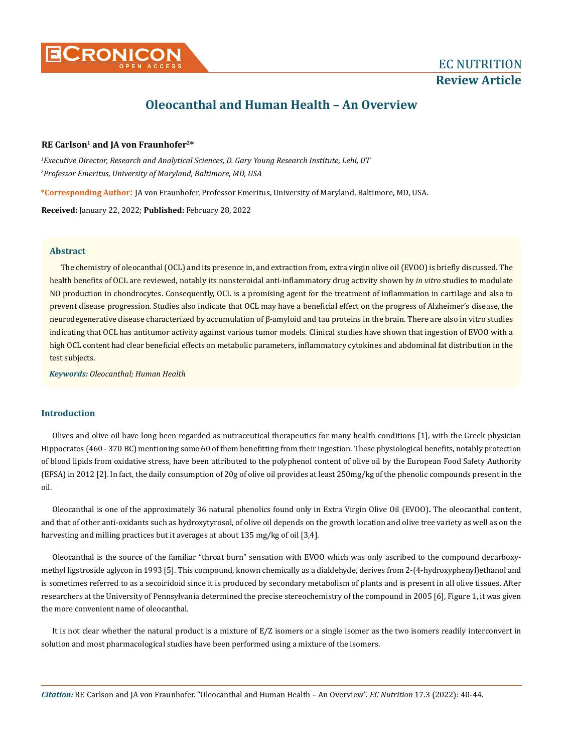

# **Review Article**

# **Oleocanthal and Human Health – An Overview**

# **RE Carlson1 and JA von Fraunhofer2\***

*1 Executive Director, Research and Analytical Sciences, D. Gary Young Research Institute, Lehi, UT 2 Professor Emeritus, University of Maryland, Baltimore, MD, USA*

**\*Corresponding Author**: JA von Fraunhofer, Professor Emeritus, University of Maryland, Baltimore, MD, USA.

**Received:** January 22, 2022; **Published:** February 28, 2022

# **Abstract**

The chemistry of oleocanthal (OCL) and its presence in, and extraction from, extra virgin olive oil (EVOO) is briefly discussed. The health benefits of OCL are reviewed, notably its nonsteroidal anti-inflammatory drug activity shown by *in vitro* studies to modulate NO production in chondrocytes. Consequently, OCL is a promising agent for the treatment of inflammation in cartilage and also to prevent disease progression. Studies also indicate that OCL may have a beneficial effect on the progress of Alzheimer's disease, the neurodegenerative disease characterized by accumulation of β-amyloid and tau proteins in the brain. There are also in vitro studies indicating that OCL has antitumor activity against various tumor models. Clinical studies have shown that ingestion of EVOO with a high OCL content had clear beneficial effects on metabolic parameters, inflammatory cytokines and abdominal fat distribution in the test subjects.

*Keywords: Oleocanthal; Human Health*

# **Introduction**

Olives and olive oil have long been regarded as nutraceutical therapeutics for many health conditions [1], with the Greek physician Hippocrates (460 - 370 BC) mentioning some 60 of them benefitting from their ingestion. These physiological benefits, notably protection of blood lipids from oxidative stress, have been attributed to the polyphenol content of olive oil by the European Food Safety Authority (EFSA) in 2012 [2]. In fact, the daily consumption of 20g of olive oil provides at least 250mg/kg of the phenolic compounds present in the oil.

Oleocanthal is one of the approximately 36 natural phenolics found only in Extra Virgin Olive Oil (EVOO)**.** The oleocanthal content, and that of other anti-oxidants such as hydroxytyrosol, of olive oil depends on the growth location and olive tree variety as well as on the harvesting and milling practices but it averages at about 135 mg/kg of oil [3,4].

Oleocanthal is the source of the familiar "throat burn" sensation with EVOO which was only ascribed to the compound decarboxymethyl ligstroside aglycon in 1993 [5]. This compound, known chemically as a dialdehyde, derives from [2-\(4-hydroxyphenyl\)ethanol](https://pubchem.ncbi.nlm.nih.gov/compound/2-%284-hydroxyphenyl%29ethanol) and is sometimes referred to as a secoiridoid since it is produced by secondary metabolism of plants and is present in all olive tissues. After researchers at the University of Pennsylvania determined the precise stereochemistry of the compound in 2005 [6], Figure 1, it was given the more convenient name of oleocanthal.

It is not clear whether the natural product is a mixture of E/Z isomers or a single isomer as the two isomers readily interconvert in solution and most pharmacological studies have been performed using a mixture of the isomers.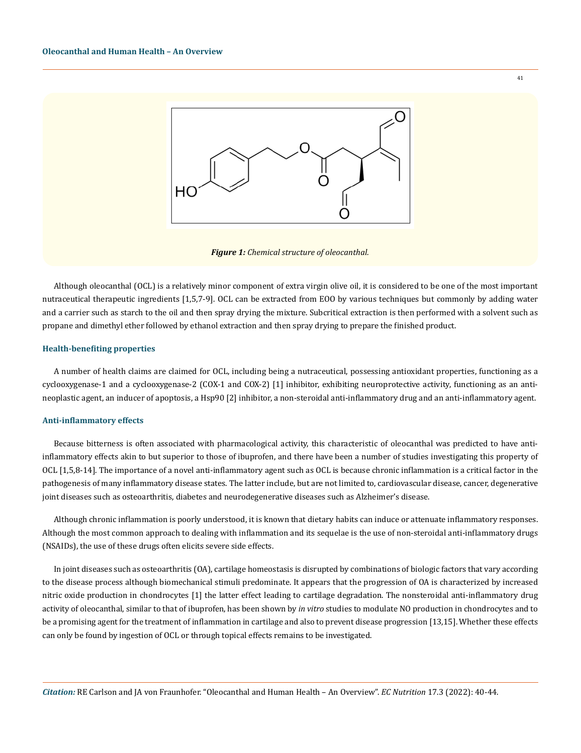

*Figure 1: Chemical structure of oleocanthal.*

Although oleocanthal (OCL) is a relatively minor component of extra virgin olive oil, it is considered to be one of the most important nutraceutical therapeutic ingredients [1,5,7-9]. OCL can be extracted from EOO by various techniques but commonly by adding water and a carrier such as starch to the oil and then spray drying the mixture. Subcritical extraction is then performed with a solvent such as propane and dimethyl ether followed by ethanol extraction and then spray drying to prepare the finished product.

# **Health-benefiting properties**

A number of health claims are claimed for OCL, including being a nutraceutical, possessing antioxidant properties, functioning as a cyclooxygenase-1 and a cyclooxygenase-2 (COX-1 and COX-2) [1] inhibitor, exhibiting neuroprotective activity, functioning as an antineoplastic agent, an inducer of apoptosis, a Hsp90 [2] inhibitor, a non-steroidal anti-inflammatory drug and an anti-inflammatory agent.

#### **Anti-inflammatory effects**

Because bitterness is often associated with pharmacological activity, this characteristic of oleocanthal was predicted to have antiinflammatory effects akin to but superior to those of ibuprofen, and there have been a number of studies investigating this property of OCL [1,5,8-14]. The importance of a novel anti-inflammatory agent such as OCL is because chronic inflammation is a critical factor in the pathogenesis of many inflammatory disease states. The latter include, but are not limited to, cardiovascular disease, cancer, degenerative joint diseases such as osteoarthritis, diabetes and neurodegenerative diseases such as Alzheimer's disease.

Although chronic inflammation is poorly understood, it is known that dietary habits can induce or attenuate inflammatory responses. Although the most common approach to dealing with inflammation and its sequelae is the use of non-steroidal anti-inflammatory drugs (NSAIDs), the use of these drugs often elicits severe side effects.

In joint diseases such as osteoarthritis (OA), cartilage homeostasis is disrupted by combinations of biologic factors that vary according to the disease process although biomechanical stimuli predominate. It appears that the progression of OA is characterized by increased nitric oxide production in chondrocytes [1] the latter effect leading to cartilage degradation. The nonsteroidal anti-inflammatory drug activity of oleocanthal, similar to that of ibuprofen, has been shown by *in vitro* studies to modulate NO production in chondrocytes and to be a promising agent for the treatment of inflammation in cartilage and also to prevent disease progression [13,15]. Whether these effects can only be found by ingestion of OCL or through topical effects remains to be investigated.

41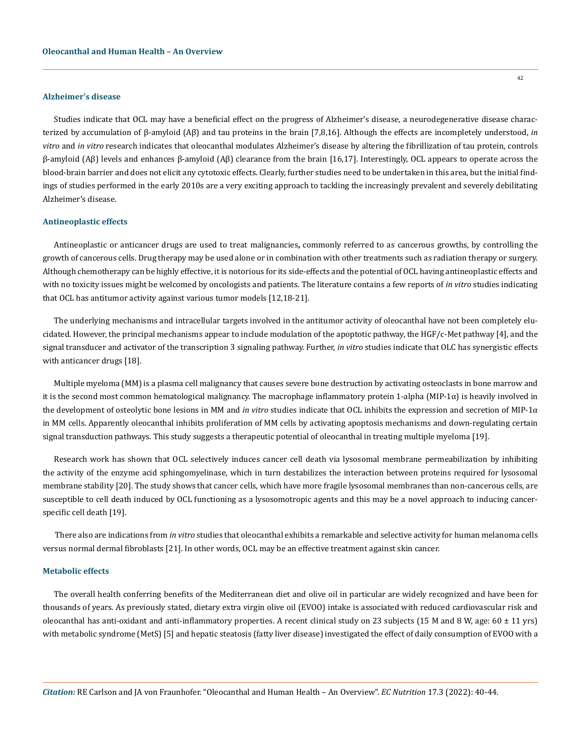#### **Alzheimer's disease**

Studies indicate that OCL may have a beneficial effect on the progress of Alzheimer's disease, a neurodegenerative disease characterized by accumulation of β-amyloid (Aβ) and tau proteins in the brain [7,8,16]. Although the effects are incompletely understood, *in vitro* and *in vitro* research indicates that oleocanthal modulates Alzheimer's disease by altering the fibrillization of tau protein, controls β-amyloid (Aβ) levels and enhances β-amyloid (Aβ) clearance from the brain [16,17]. Interestingly, OCL appears to operate across the blood-brain barrier and does not elicit any cytotoxic effects. Clearly, further studies need to be undertaken in this area, but the initial findings of studies performed in the early 2010s are a very exciting approach to tackling the increasingly prevalent and severely debilitating Alzheimer's disease.

## **Antineoplastic effects**

Antineoplastic or anticancer drugs are used to treat malignancies**,** commonly referred to as cancerous growths, by controlling the growth of cancerous cells. Drug therapy may be used alone or in combination with other treatments such as radiation therapy or surgery. Although chemotherapy can be highly effective, it is notorious for its side-effects and the potential of OCL having antineoplastic effects and with no toxicity issues might be welcomed by oncologists and patients. The literature contains a few reports of *in vitro* studies indicating that OCL has antitumor activity against various tumor models [12,18-21].

The underlying mechanisms and intracellular targets involved in the antitumor activity of oleocanthal have not been completely elucidated. However, the principal mechanisms appear to include modulation of the apoptotic pathway, the HGF/c-Met pathway [4], and the signal transducer and activator of the transcription 3 signaling pathway. Further, *in vitro* studies indicate that OLC has synergistic effects with anticancer drugs [18].

Multiple myeloma (MM) is a plasma cell malignancy that causes severe bone destruction by activating osteoclasts in bone marrow and it is the second most common hematological malignancy. The macrophage inflammatory protein 1-alpha (MIP-1 $\alpha$ ) is heavily involved in the development of osteolytic bone lesions in MM and *in vitro* studies indicate that OCL inhibits the expression and secretion of MIP-1α in MM cells. Apparently oleocanthal inhibits proliferation of MM cells by activating apoptosis mechanisms and down-regulating certain signal transduction pathways. This study suggests a therapeutic potential of oleocanthal in treating multiple myeloma [19].

Research work has shown that OCL selectively induces cancer cell death via lysosomal membrane permeabilization by inhibiting the activity of the enzyme acid sphingomyelinase, which in turn destabilizes the interaction between proteins required for lysosomal membrane stability [20]. The study shows that cancer cells, which have more fragile lysosomal membranes than non-cancerous cells, are susceptible to cell death induced by OCL functioning as a lysosomotropic agents and this may be a novel approach to inducing cancerspecific cell death [19].

There also are indications from *in vitro* studies that oleocanthal exhibits a remarkable and selective activity for human melanoma cells versus normal dermal fibroblasts [21]. In other words, OCL may be an effective treatment against skin cancer.

## **Metabolic effects**

The overall health conferring benefits of the Mediterranean diet and olive oil in particular are widely recognized and have been for thousands of years. As previously stated, dietary extra virgin olive oil (EVOO) intake is associated with reduced cardiovascular risk and oleocanthal has anti-oxidant and anti-inflammatory properties. A recent clinical study on 23 subjects (15 M and 8 W, age:  $60 \pm 11$  yrs) with metabolic syndrome (MetS) [5] and hepatic steatosis (fatty liver disease) investigated the effect of daily consumption of EVOO with a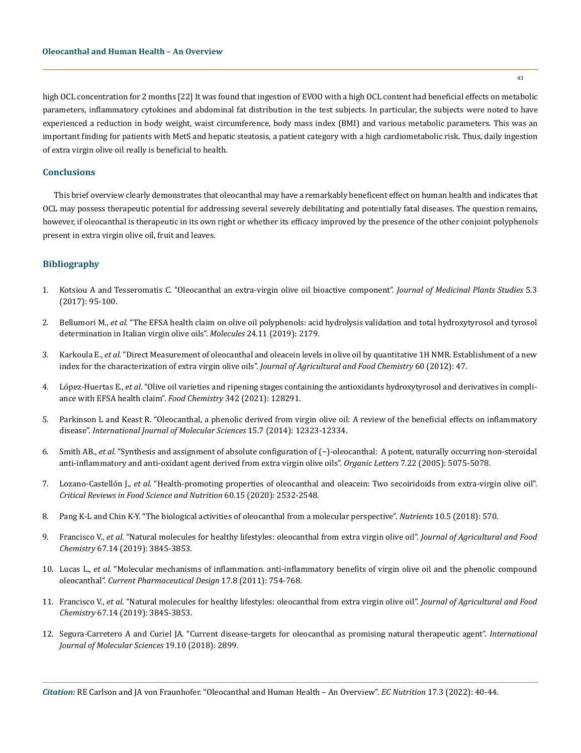high OCL concentration for 2 months [22] It was found that ingestion of EVOO with a high OCL content had beneficial effects on metabolic parameters, inflammatory cytokines and abdominal fat distribution in the test subjects. In particular, the subjects were noted to have experienced a reduction in body weight, waist circumference, body mass index (BMI) and various metabolic parameters. This was an important finding for patients with MetS and hepatic steatosis, a patient category with a high cardiometabolic risk. Thus, daily ingestion of extra virgin olive oil really is beneficial to health.

# **Conclusions**

This brief overview clearly demonstrates that oleocanthal may have a remarkably beneficent effect on human health and indicates that OCL may possess therapeutic potential for addressing several severely debilitating and potentially fatal diseases. The question remains, however, if oleocanthal is therapeutic in its own right or whether its efficacy improved by the presence of the other conjoint polyphenols present in extra virgin olive oil, fruit and leaves.

# **Bibliography**

- 1. [Kotsiou A and Tesseromatis C. "Oleocanthal an extra-virgin olive oil bioactive component".](https://www.plantsjournal.com/archives/?year=2017&vol=5&issue=3&part=B&ArticleId=607) *Journal of Medicinal Plants Studies* 5.3 [\(2017\): 95-100.](https://www.plantsjournal.com/archives/?year=2017&vol=5&issue=3&part=B&ArticleId=607)
- 2. Bellumori M., *et al.* ["The EFSA health claim on olive oil polyphenols: acid hydrolysis validation and total hydroxytyrosol and tyrosol](https://pubmed.ncbi.nlm.nih.gov/31185655/) [determination in Italian virgin olive oils".](https://pubmed.ncbi.nlm.nih.gov/31185655/) *Molecules* 24.11 (2019): 2179.
- 3. Karkoula E., *et al.* ["Direct Measurement of oleocanthal and oleacein levels in olive oil by quantitative 1H NMR. Establishment of a new](https://pubs.acs.org/doi/10.1021/jf3032765) [index for the characterization of extra virgin olive oils".](https://pubs.acs.org/doi/10.1021/jf3032765) *Journal of Agricultural and Food Chemistry* 60 (2012): 47.
- 4. López-Huertas E., *et al*[. "Olive oil varieties and ripening stages containing the antioxidants hydroxytyrosol and derivatives in compli](https://www.sciencedirect.com/science/article/abs/pii/S0308814620321531)[ance with EFSA health claim".](https://www.sciencedirect.com/science/article/abs/pii/S0308814620321531) *Food Chemistry* 342 (2021): 128291.
- 5. [Parkinson L and Keast R. "Oleocanthal, a phenolic derived from virgin olive oil: A review of the beneficial effects on inflammatory](https://pubmed.ncbi.nlm.nih.gov/25019344/) disease". *[International Journal of Molecular Sciences](https://pubmed.ncbi.nlm.nih.gov/25019344/)* 15.7 (2014): 12323-12334.
- 6. Smith AB., *et al.* ["Synthesis and assignment of absolute configuration of \(−\)-oleocanthal:  A potent, naturally occurring non-steroidal](https://pubmed.ncbi.nlm.nih.gov/16235961/) [anti-inflammatory and anti-oxidant agent derived from extra virgin olive oils".](https://pubmed.ncbi.nlm.nih.gov/16235961/) *Organic Letters* 7.22 (2005): 5075-5078.
- 7. Lozano-Castellón J., *et al.* ["Health-promoting properties of oleocanthal and oleacein: Two secoiridoids from extra-virgin olive oil".](https://www.tandfonline.com/doi/abs/10.1080/10408398.2019.1650715?journalCode=bfsn20) *[Critical Reviews in Food Science and Nutrition](https://www.tandfonline.com/doi/abs/10.1080/10408398.2019.1650715?journalCode=bfsn20)* 60.15 (2020): 2532-2548.
- 8. [Pang K-L and Chin K-Y. "The biological activities of oleocanthal from a molecular perspective".](https://www.researchgate.net/publication/324989832_The_Biological_Activities_of_Oleocanthal_from_a_Molecular_Perspective) *Nutrients* 10.5 (2018): 570.
- 9. Francisco V., *et al.* ["Natural molecules for healthy lifestyles: oleocanthal from extra virgin olive oil".](https://pubmed.ncbi.nlm.nih.gov/30875206/) *Journal of Agricultural and Food Chemistry* [67.14 \(2019\): 3845-3853.](https://pubmed.ncbi.nlm.nih.gov/30875206/)
- 10. Lucas L., *et al.* ["Molecular mechanisms of inflammation. anti-inflammatory benefits of virgin olive oil and the phenolic compound](https://pubmed.ncbi.nlm.nih.gov/21443487/) oleocanthal". *[Current Pharmaceutical Design](https://pubmed.ncbi.nlm.nih.gov/21443487/)* 17.8 (2011): 754-768.
- 11. Francisco V., *et al.* ["Natural molecules for healthy lifestyles: oleocanthal from extra virgin olive oil".](https://pubmed.ncbi.nlm.nih.gov/30875206/) *Journal of Agricultural and Food Chemistry* [67.14 \(2019\): 3845-3853.](https://pubmed.ncbi.nlm.nih.gov/30875206/)
- 12. [Segura-Carretero A and Curiel JA. "Current disease-targets for oleocanthal as promising natural therapeutic agent".](https://www.researchgate.net/publication/327849058_Current_Disease-Targets_for_Oleocanthal_as_Promising_Natural_Therapeutic_Agent) *International [Journal of Molecular Sciences](https://www.researchgate.net/publication/327849058_Current_Disease-Targets_for_Oleocanthal_as_Promising_Natural_Therapeutic_Agent)* 19.10 (2018): 2899.

43